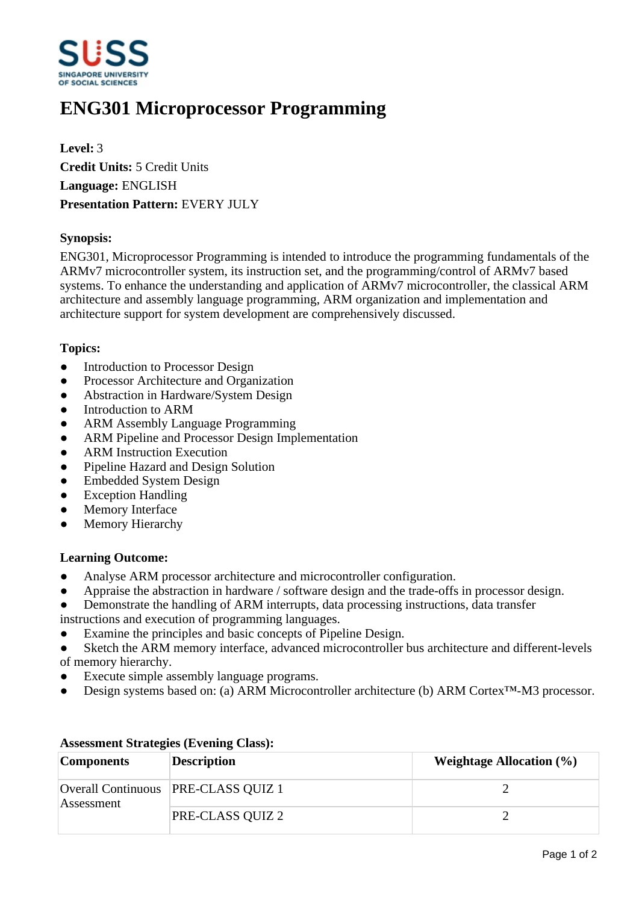

# **ENG301 Microprocessor Programming**

**Level:** 3 **Credit Units:** 5 Credit Units **Language:** ENGLISH **Presentation Pattern:** EVERY JULY

### **Synopsis:**

ENG301, Microprocessor Programming is intended to introduce the programming fundamentals of the ARMv7 microcontroller system, its instruction set, and the programming/control of ARMv7 based systems. To enhance the understanding and application of ARMv7 microcontroller, the classical ARM architecture and assembly language programming, ARM organization and implementation and architecture support for system development are comprehensively discussed.

### **Topics:**

- Introduction to Processor Design
- Processor Architecture and Organization
- Abstraction in Hardware/System Design
- Introduction to ARM
- ƔARM Assembly Language Programming
- ARM Pipeline and Processor Design Implementation
- ARM Instruction Execution
- Pipeline Hazard and Design Solution
- Embedded System Design
- Exception Handling
- Memory Interface
- Memory Hierarchy

#### **Learning Outcome:**

- Analyse ARM processor architecture and microcontroller configuration.
- Appraise the abstraction in hardware / software design and the trade-offs in processor design.
- Demonstrate the handling of ARM interrupts, data processing instructions, data transfer
- instructions and execution of programming languages.
- Examine the principles and basic concepts of Pipeline Design.
- Sketch the ARM memory interface, advanced microcontroller bus architecture and different-levels of memory hierarchy.
- Execute simple assembly language programs.
- Design systems based on: (a) ARM Microcontroller architecture (b) ARM Cortex<sup>TM</sup>-M3 processor.

| <b>Components</b> | <b>Description</b>                  | <b>Weightage Allocation (%)</b> |
|-------------------|-------------------------------------|---------------------------------|
| Assessment        | Overall Continuous PRE-CLASS QUIZ 1 |                                 |
|                   | PRE-CLASS QUIZ 2                    |                                 |

## **Assessment Strategies (Evening Class):**